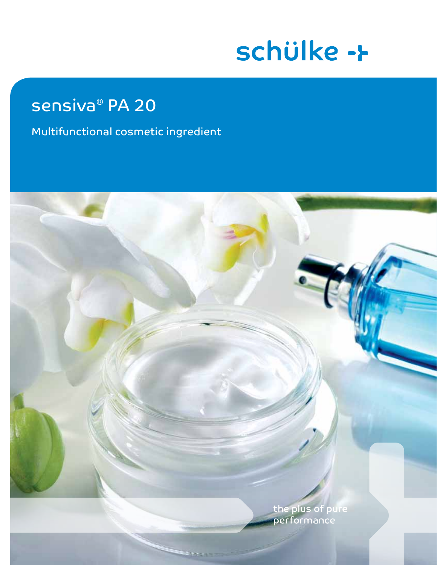# schülke ->

# sensiva<sup>®</sup> PA 20

Multifunctional cosmetic ingredient

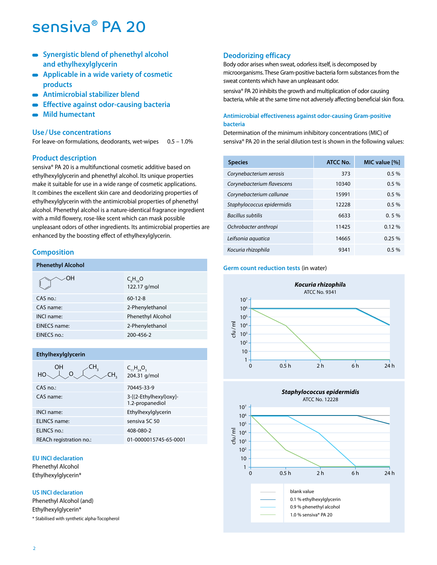- **Synergistic blend of phenethyl alcohol and ethylhexylglycerin**
- **Applicable in a wide variety of cosmetic**   $\overline{\phantom{a}}$ **products**
- **Antimicrobial stabilizer blend**  $\blacksquare$
- **Effective against odor-causing bacteria**  $\blacksquare$
- **Mild humectant**

# **Use /Use concentrations**

For leave-on formulations, deodorants, wet-wipes 0.5 – 1.0%

# **Product description**

sensiva® PA 20 is a multifunctional cosmetic additive based on ethylhexylglycerin and phenethyl alcohol. Its unique properties make it suitable for use in a wide range of cosmetic applications. It combines the excellent skin care and deodorizing properties of ethylhexylglycerin with the antimicrobial properties of phenethyl alcohol. Phenethyl alcohol is a nature-identical fragrance ingredient with a mild flowery, rose-like scent which can mask possible unpleasant odors of other ingredients. Its antimicrobial properties are enhanced by the boosting effect of ethylhexylglycerin.

# **Composition**

| <b>Phenethyl Alcohol</b> |                                        |
|--------------------------|----------------------------------------|
| ∠OH                      | $C_{\rm s}H_{\rm no}O$<br>122.17 g/mol |
| $CAS$ no.:               | $60 - 12 - 8$                          |
| CAS name:                | 2-Phenylethanol                        |
| <b>INCI name:</b>        | <b>Phenethyl Alcohol</b>               |
| <b>EINECS name:</b>      | 2-Phenylethanol                        |
| EINECS no.:              | 200-456-2                              |
|                          |                                        |

# **Ethylhexylglycerin**

| OН<br>HО                | $C_{11}H_{24}O_{3}$<br>204.31 g/mol       |
|-------------------------|-------------------------------------------|
| $CAS \nno$              | 70445-33-9                                |
| CAS name:               | 3-[(2-Ethylhexyl)oxy]-<br>1.2-propanediol |
| <b>INCI</b> name:       | Ethylhexylglycerin                        |
| ELINCS name:            | sensiva SC 50                             |
| ELINCS no.:             | 408-080-2                                 |
| REACh registration no.: | 01-0000015745-65-0001                     |

# **EU INCI declaration**

Phenethyl Alcohol Ethylhexylglycerin\*

# **US INCI declaration**

Phenethyl Alcohol (and) Ethylhexylglycerin\* \* Stabilised with synthetic alpha-Tocopherol

# **Deodorizing efficacy**

Body odor arises when sweat, odorless itself, is decomposed by microorganisms. These Gram-positive bacteria form substances from the sweat contents which have an unpleasant odor.

sensiva® PA 20 inhibits the growth and multiplication of odor causing bacteria, while at the same time not adversely affecting beneficial skin flora.

# **Antimicrobial effectiveness against odor-causing Gram-positive bacteria**

Determination of the minimum inhibitory concentrations (MIC) of sensiva® PA 20 in the serial dilution test is shown in the following values:

| <b>Species</b>             | <b>ATCC No.</b> | MIC value [%] |
|----------------------------|-----------------|---------------|
| Corynebacterium xerosis    | 373             | 0.5%          |
| Corynebacterium flavescens | 10340           | 0.5%          |
| Corynebacterium callunae   | 15991           | 0.5%          |
| Staphylococcus epidermidis | 12228           | 0.5%          |
| <b>Bacillus subtilis</b>   | 6633            | 0.5%          |
| Ochrobacter anthropi       | 11425           | 0.12%         |
| Leifsonia aguatica         | 14665           | 0.25%         |
| Kocuria rhizophila         | 9341            | $0.5\%$       |

#### **Germ count reduction tests** (in water)



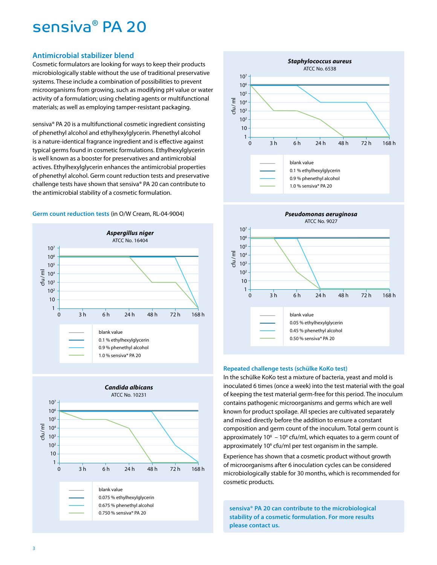# **Antimicrobial stabilizer blend**

Cosmetic formulators are looking for ways to keep their products microbiologically stable without the use of traditional preservative systems. These include a combination of possibilities to prevent microorganisms from growing, such as modifying pH value or water activity of a formulation; using chelating agents or multifunctional materials; as well as employing tamper-resistant packaging.

sensiva® PA 20 is a multifunctional cosmetic ingredient consisting of phenethyl alcohol and ethylhexylglycerin. Phenethyl alcohol is a nature-identical fragrance ingredient and is effective against typical germs found in cosmetic formulations. Ethylhexylglycerin is well known as a booster for preservatives and antimicrobial actives. Ethylhexylglycerin enhances the antimicrobial properties of phenethyl alcohol. Germ count reduction tests and preservative challenge tests have shown that sensiva® PA 20 can contribute to the antimicrobial stability of a cosmetic formulation.

# **Germ count reduction tests** (in O/W Cream, RL-04-9004)







#### **Repeated challenge tests (schülke KoKo test)**

In the schülke KoKo test a mixture of bacteria, yeast and mold is inoculated 6 times (once a week) into the test material with the goal of keeping the test material germ-free for this period. The inoculum contains pathogenic microorganisms and germs which are well known for product spoilage. All species are cultivated separately and mixed directly before the addition to ensure a constant composition and germ count of the inoculum. Total germ count is approximately  $10^8 - 10^9$  cfu/ml, which equates to a germ count of approximately 10<sup>6</sup> cfu/ml per test organism in the sample.

0.05 % ethylhexylglycerin 0.45 % phenethyl alcohol 0.50 % sensiva® PA 20

Experience has shown that a cosmetic product without growth of microorganisms after 6 inoculation cycles can be considered microbiologically stable for 30 months, which is recommended for cosmetic products.

**sensiva® PA 20 can contribute to the microbiological stability of a cosmetic formulation. For more results please contact us.**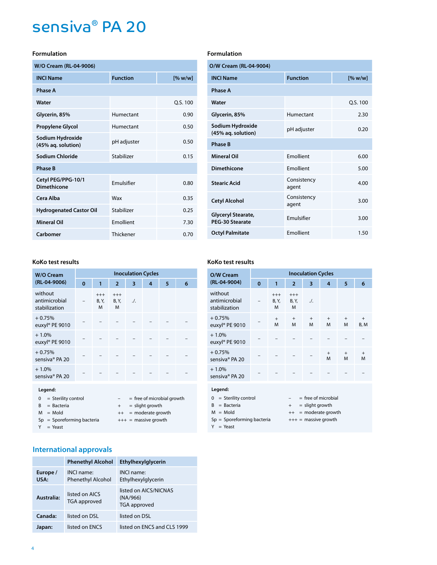# **Formulation**

| W/O Cream (RL-04-9006)                 |                   |          |
|----------------------------------------|-------------------|----------|
| <b>INCI Name</b>                       | <b>Function</b>   | [% w/w]  |
| <b>Phase A</b>                         |                   |          |
| Water                                  |                   | Q.S. 100 |
| Glycerin, 85%                          | Humectant         | 0.90     |
| <b>Propylene Glycol</b>                | Humectant         | 0.50     |
| Sodium Hydroxide<br>(45% ag. solution) | pH adjuster       | 0.50     |
| Sodium Chloride                        | Stabilizer        | 0.15     |
| <b>Phase B</b>                         |                   |          |
| Cetyl PEG/PPG-10/1<br>Dimethicone      | <b>Fmulsifier</b> | 0.80     |
| Cera Alba                              | Wax               | 0.35     |
| <b>Hydrogenated Castor Oil</b>         | Stabilizer        | 0.25     |
| <b>Mineral Oil</b>                     | Emollient         | 7.30     |
| Carbomer                               | Thickener         | 0.70     |

### **KoKo test results**

| W/O Cream                                                | <b>Inoculation Cycles</b> |                        |                        |           |                                                   |   |   |
|----------------------------------------------------------|---------------------------|------------------------|------------------------|-----------|---------------------------------------------------|---|---|
| (RL-04-9006)                                             | $\bf{0}$                  | 1                      | $\overline{2}$         | 3         | 4                                                 | 5 | 6 |
| without<br>antimicrobial<br>stabilization                |                           | $^{+++}$<br>B, Y,<br>M | $^{+++}$<br>B, Y,<br>M | $\Lambda$ |                                                   |   |   |
| $+0.75%$<br>euxyl® PE 9010                               |                           |                        |                        |           |                                                   |   |   |
| $+1.0%$<br>euxyl® PE 9010                                |                           |                        |                        |           |                                                   |   |   |
| $+0.75%$<br>sensiva® PA 20                               |                           |                        |                        |           |                                                   |   |   |
| $+1.0%$<br>sensiva® PA 20                                |                           |                        |                        |           |                                                   |   |   |
| Legend:<br>= Sterility control<br>0<br>$=$ Bacteria<br>R |                           |                        | $+$                    |           | $=$ free of microbial growth<br>$=$ slight growth |   |   |

#### $M = M$ old  $H + 1 = M$ old  $H$  $Sp = Sporeforming bacteria$  +++ = massive growth  $Y = Yeast$

# **International approvals**

|                  | <b>Phenethyl Alcohol</b>                      | Ethylhexylglycerin                                |
|------------------|-----------------------------------------------|---------------------------------------------------|
| Europe /<br>USA: | <b>INCI</b> name:<br><b>Phenethyl Alcohol</b> | INCI name<br>Ethylhexylglycerin                   |
| Australia:       | listed on AICS<br><b>TGA</b> approved         | listed on AICS/NICNAS<br>(NA/966)<br>TGA approved |
| Canada:          | listed on DSL                                 | listed on DSL                                     |
| Japan:           | listed on ENCS                                | listed on ENCS and CLS 1999                       |

# **Formulation**

| O/W Cream (RL-04-9004)                       |                      |          |  |  |
|----------------------------------------------|----------------------|----------|--|--|
| <b>INCI Name</b>                             | <b>Function</b>      | [% w/w]  |  |  |
| <b>Phase A</b>                               |                      |          |  |  |
| Water                                        |                      | Q.S. 100 |  |  |
| Glycerin, 85%                                | Humectant            | 2.30     |  |  |
| Sodium Hydroxide<br>(45% aq. solution)       | pH adjuster          | 0.20     |  |  |
| <b>Phase B</b>                               |                      |          |  |  |
| <b>Mineral Oil</b>                           | <b>Fmollient</b>     | 6.00     |  |  |
| Dimethicone                                  | <b>Fmollient</b>     | 5.00     |  |  |
| <b>Stearic Acid</b>                          | Consistency<br>agent | 4.00     |  |  |
| <b>Cetyl Alcohol</b>                         | Consistency<br>agent | 3.00     |  |  |
| Glyceryl Stearate,<br><b>PEG-30 Stearate</b> | <b>Fmulsifier</b>    | 3.00     |  |  |
| <b>Octyl Palmitate</b>                       | <b>Fmollient</b>     | 1.50     |  |  |

### **KoKo test results**

| O/W Cream                                   | <b>Inoculation Cycles</b> |                        |                        |                     |                        |                |             |
|---------------------------------------------|---------------------------|------------------------|------------------------|---------------------|------------------------|----------------|-------------|
| (RL-04-9004)                                | 0                         | 1                      | $\overline{2}$         | 3                   | 4                      | 5              | 6           |
| without<br>antimicrobial<br>stabilization   |                           | $^{+++}$<br>B, Y,<br>M | $^{+++}$<br>B, Y,<br>M | $\Lambda$           |                        |                |             |
| $+0.75%$<br>euxyl® PE 9010                  |                           | $+$<br>M               | $+$<br>M               | $+$<br>м            | $+$<br>M               | $+$<br>M       | $+$<br>B, M |
| $+1.0%$<br>euxyl® PE 9010                   |                           |                        |                        |                     |                        |                |             |
| $+0.75%$<br>sensiva® PA 20                  |                           |                        |                        |                     | $+$<br>M               | $\ddot{}$<br>M | $+$<br>M    |
| $+1.0\%$<br>sensiva® PA 20                  |                           |                        |                        |                     |                        |                |             |
| Legend:                                     |                           |                        |                        |                     |                        |                |             |
| $0 =$ Sterility control                     |                           |                        |                        |                     | $=$ free of microbial  |                |             |
| $=$ Bacteria<br>B                           |                           |                        |                        | $+$ = slight growth |                        |                |             |
| $M =$ Mold                                  |                           |                        |                        |                     | $++$ = moderate growth |                |             |
| $Sp = Sporeforming bacteria$<br>$Y = Yeast$ |                           |                        |                        |                     | $+++$ = massive growth |                |             |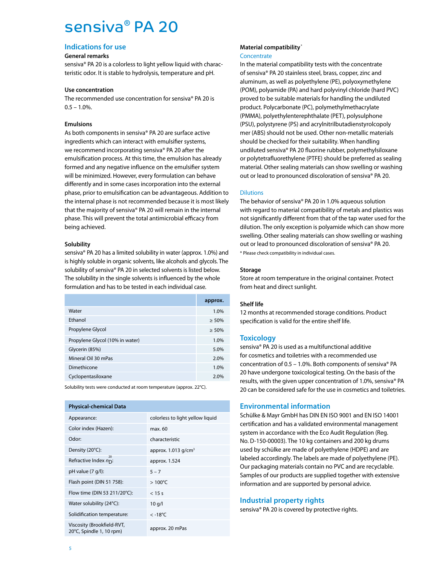# **Indications for use**

### **General remarks**

sensiva® PA 20 is a colorless to light yellow liquid with characteristic odor. It is stable to hydrolysis, temperature and pH.

### **Use concentration**

The recommended use concentration for sensiva® PA 20 is  $0.5 - 1.0%$ .

# **Emulsions**

As both components in sensiva® PA 20 are surface active ingredients which can interact with emulsifier systems, we recommend incorporating sensiva® PA 20 after the emulsification process. At this time, the emulsion has already formed and any negative influence on the emulsifier system will be minimized. However, every formulation can behave differently and in some cases incorporation into the external phase, prior to emulsification can be advantageous. Addition to the internal phase is not recommended because it is most likely that the majority of sensiva® PA 20 will remain in the internal phase. This will prevent the total antimicrobial efficacy from being achieved.

# **Solubility**

sensiva® PA 20 has a limited solubility in water (approx. 1.0%) and is highly soluble in organic solvents, like alcohols and glycols. The solubility of sensiva® PA 20 in selected solvents is listed below. The solubility in the single solvents is influenced by the whole formulation and has to be tested in each individual case.

|                                 | approx.  |
|---------------------------------|----------|
| Water                           | 1.0%     |
| Fthanol                         | $> 50\%$ |
| Propylene Glycol                | $> 50\%$ |
| Propylene Glycol (10% in water) | 1.0%     |
| Glycerin (85%)                  | 5.0%     |
| Mineral Oil 30 mPas             | 2.0%     |
| Dimethicone                     | 1.0%     |
| Cyclopentasiloxane              | 2.0%     |

Solubility tests were conducted at room temperature (approx. 22°C).

| <b>Physical-chemical Data</b>                          |                                   |
|--------------------------------------------------------|-----------------------------------|
| Appearance:                                            | colorless to light yellow liquid  |
| Color index (Hazen):                                   | max. 60                           |
| Odor:                                                  | characteristic                    |
| Density (20°C):                                        | approx. $1.013$ g/cm <sup>3</sup> |
| 20<br>Refractive Index $n_{\mathsf{D}}$ :              | approx. 1.524                     |
| $pH$ value $(7 q/l)$ :                                 | $5 - 7$                           |
| Flash point (DIN 51 758):                              | $>100^{\circ}$ C                  |
| Flow time (DIN 53 211/20°C):                           | $<$ 15 s                          |
| Water solubility (24°C):                               | 10q/l                             |
| Solidification temperature:                            | $< -18$ °C                        |
| Viscosity (Brookfield-RVT,<br>20°C, Spindle 1, 10 rpm) | approx. 20 mPas                   |

# **Material compatibility**\*

### **Concentrate**

In the material compatibility tests with the concentrate of sensiva® PA 20 stainless steel, brass, copper, zinc and aluminum, as well as polyethylene (PE), polyoxymethylene (POM), polyamide (PA) and hard polyvinyl chloride (hard PVC) proved to be suitable materials for handling the undiluted product. Polycarbonate (PC), polymethylmethacrylate (PMMA), polyethylenterephthalate (PET), polysulphone (PSU), polystyrene (PS) and acrylnitrilbutadienstyrolcopoly mer (ABS) should not be used. Other non-metallic materials should be checked for their suitability. When handling undiluted sensiva® PA 20 fluorine rubber, polymethylsiloxane or polytetrafluorethylene (PTFE) should be preferred as sealing material. Other sealing materials can show swelling or washing out or lead to pronounced discoloration of sensiva® PA 20.

# **Dilutions**

The behavior of sensiva® PA 20 in 1.0% aqueous solution with regard to material compatibility of metals and plastics was not significantly different from that of the tap water used for the dilution. The only exception is polyamide which can show more swelling. Other sealing materials can show swelling or washing out or lead to pronounced discoloration of sensiva® PA 20. \* Please check compatibility in individual cases.

# **Storage**

Store at room temperature in the original container. Protect from heat and direct sunlight.

# **Shelf life**

12 months at recommended storage conditions. Product specification is valid for the entire shelf life.

# **Toxicology**

sensiva® PA 20 is used as a multifunctional additive for cosmetics and toiletries with a recommended use concentration of 0.5 – 1.0%. Both components of sensiva® PA 20 have undergone toxicological testing. On the basis of the results, with the given upper concentration of 1.0%, sensiva® PA 20 can be considered safe for the use in cosmetics and toiletries.

# **Environmental information**

Schülke & Mayr GmbH has DIN EN ISO 9001 and EN ISO 14001 certification and has a validated environmental management system in accordance with the Eco Audit Regulation (Reg. No. D-150-00003). The 10 kg containers and 200 kg drums used by schülke are made of polyethylene (HDPE) and are labeled accordingly. The labels are made of polyethylene (PE). Our packaging materials contain no PVC and are recyclable. Samples of our products are supplied together with extensive information and are supported by personal advice.

# **Industrial property rights**

sensiva® PA 20 is covered by protective rights.